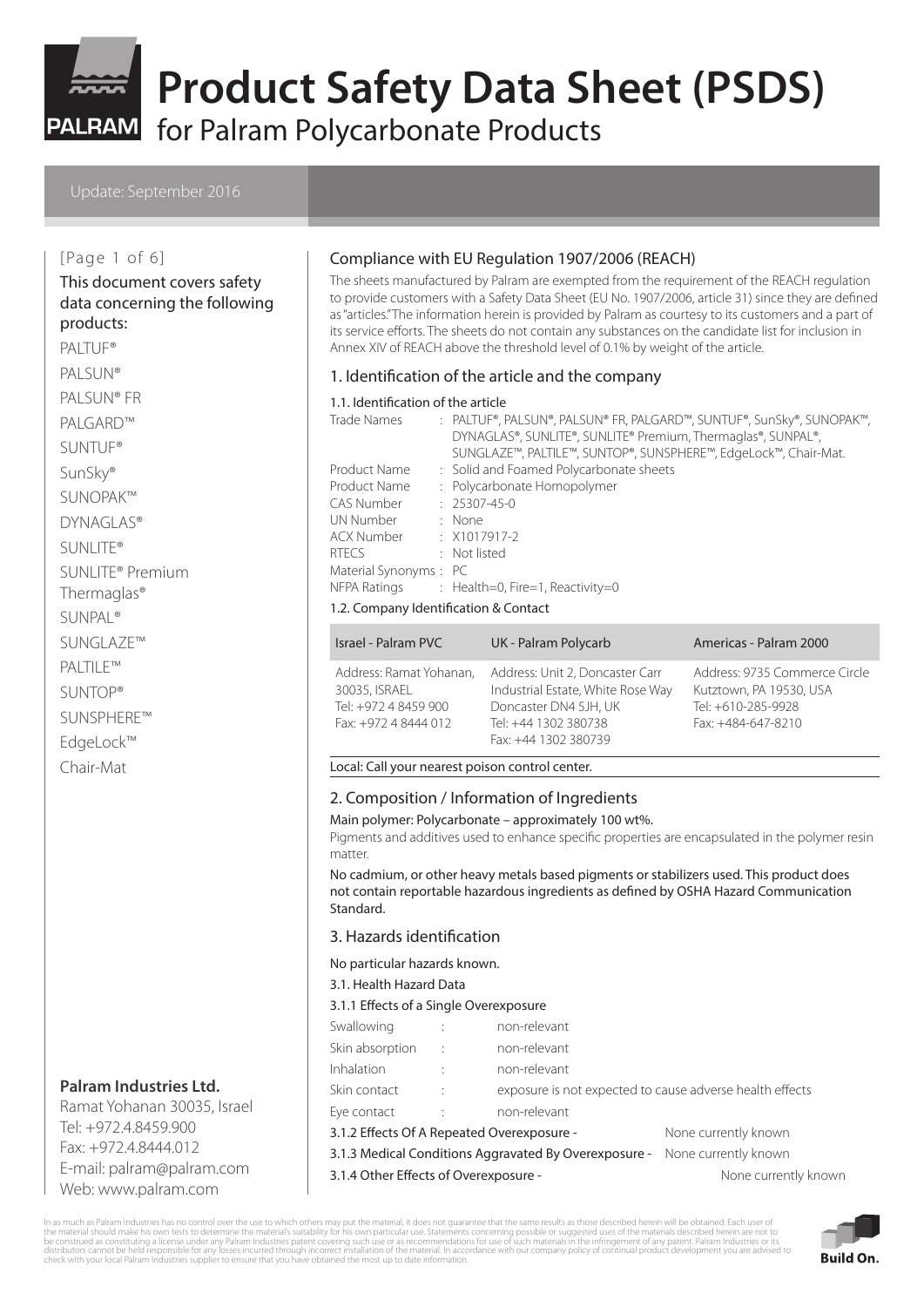

for Palram Polycarbonate Products

#### Update: September 2016

#### [Page 1 of 6]

#### This document covers safety data concerning the following products:

PALTUF® PALSUN® PALSUN® FR PALGARD™ SUNTUF® SunSky® SUNOPAK™ DYNAGLAS® SUNLITE®

SUNLITE® Premium Thermaglas®

SUNPAL®

SUNGLAZE™

PALTILE™

SUNTOP®

SUNSPHERE™

EdgeLock™

Chair-Mat

# **Palram Industries Ltd.**

Ramat Yohanan 30035, Israel Tel: +972.4.8459.900 Fax: +972.4.8444.012 E-mail: palram@palram.com Web: www.palram.com

### Compliance with EU Regulation 1907/2006 (REACH)

The sheets manufactured by Palram are exempted from the requirement of the REACH regulation to provide customers with a Safety Data Sheet (EU No. 1907/2006, article 31) since they are defined as "articles." The information herein is provided by Palram as courtesy to its customers and a part of its service efforts. The sheets do not contain any substances on the candidate list for inclusion in Annex XIV of REACH above the threshold level of 0.1% by weight of the article.

#### 1. Identification of the article and the company

#### 1.1. Identification of the article

| Trade Names             | : PALTUF®, PALSUN®, PALSUN® FR, PALGARD™, SUNTUF®, SunSky®, SUNOPAK™, |
|-------------------------|-----------------------------------------------------------------------|
|                         | DYNAGLAS®, SUNLITE®, SUNLITE® Premium, Thermaglas®, SUNPAL®,          |
|                         | SUNGLAZE™, PALTILE™, SUNTOP®, SUNSPHERE™, EdgeLock™, Chair-Mat.       |
| Product Name            | : Solid and Foamed Polycarbonate sheets                               |
| Product Name            | : Polycarbonate Homopolymer                                           |
| CAS Number              | $: 25307 - 45 - 0$                                                    |
| UN Number               | : None                                                                |
| ACX Number : X1017917-2 |                                                                       |
| <b>RTFCS</b>            | : Not listed                                                          |
| Material Synonyms: PC   |                                                                       |
|                         | NFPA Ratings : Health=0, Fire=1, Reactivity=0                         |
|                         |                                                                       |

#### 1.2. Company Identification & Contact

| Israel - Palram PVC                                                                      | UK - Palram Polycarb                                                                                                                          | Americas - Palram 2000                                                                               |
|------------------------------------------------------------------------------------------|-----------------------------------------------------------------------------------------------------------------------------------------------|------------------------------------------------------------------------------------------------------|
| Address: Ramat Yohanan,<br>30035, ISRAEL<br>Tel: +972 4 8459 900<br>Fax: +972 4 8444 012 | Address: Unit 2, Doncaster Carr<br>Industrial Estate, White Rose Way<br>Doncaster DN4 5JH, UK<br>Tel: +44 1302 380738<br>Fax: +44 1302 380739 | Address: 9735 Commerce Circle<br>Kutztown, PA 19530, USA<br>Tel: +610-285-9928<br>Fax: +484-647-8210 |

#### Local: Call your nearest poison control center.

#### 2. Composition / Information of Ingredients

Main polymer: Polycarbonate – approximately 100 wt%.

Pigments and additives used to enhance specific properties are encapsulated in the polymer resin matter.

No cadmium, or other heavy metals based pigments or stabilizers used. This product does not contain reportable hazardous ingredients as defined by OSHA Hazard Communication Standard.

#### 3. Hazards identification

No particular hazards known.

3.1. Health Hazard Data

3.1.1 Effects of a Single Overexposure

| Swallowing                                            |                      | non-relevant                                             |                      |  |  |
|-------------------------------------------------------|----------------------|----------------------------------------------------------|----------------------|--|--|
| Skin absorption                                       |                      | non-relevant                                             |                      |  |  |
| Inhalation                                            |                      | non-relevant                                             |                      |  |  |
| Skin contact                                          | $\ddot{\cdot}$       | exposure is not expected to cause adverse health effects |                      |  |  |
| Eye contact                                           | $\ddot{\phantom{a}}$ | non-relevant                                             |                      |  |  |
| 3.1.2 Effects Of A Repeated Overexposure -            |                      |                                                          | None currently known |  |  |
| 3.1.3 Medical Conditions Aggravated By Overexposure - |                      | None currently known                                     |                      |  |  |
| 3.1.4 Other Effects of Overexposure -                 |                      | None currently known                                     |                      |  |  |

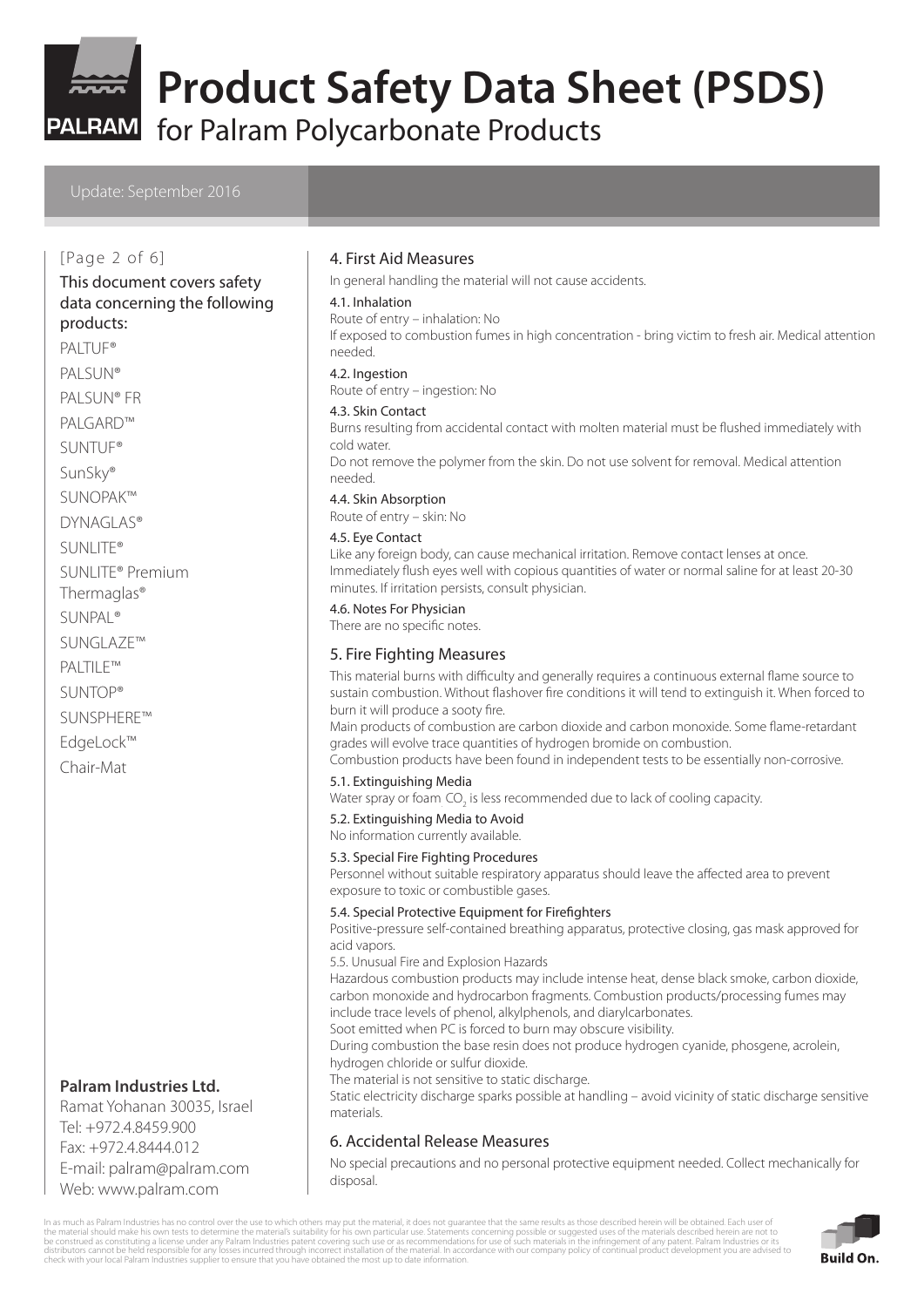

PALRAM for Palram Polycarbonate Products

#### Update: September 2016

#### [Page 2 of 6]

# This document covers safety data concerning the following

### products:

PALTUF<sup>®</sup> PALSUN®

PALSUN® FR

PALGARD™

SUNTUF®

SunSky®

SUNOPAK™

DYNAGLAS®

- SUNLITE®
- SUNLITE® Premium
- Thermaglas®
- SUNPAL®
- SUNGLAZE™
- PALTILE™
- SUNTOP®

SUNSPHERE™

EdgeLock™

Chair-Mat

### **Palram Industries Ltd.**

Ramat Yohanan 30035, Israel Tel: +972.4.8459.900 Fax: +972.4.8444.012 E-mail: palram@palram.com Web: www.palram.com

#### 4. First Aid Measures

In general handling the material will not cause accidents.

#### 4.1. Inhalation

Route of entry – inhalation: No

If exposed to combustion fumes in high concentration - bring victim to fresh air. Medical attention needed.

#### 4.2. Ingestion

Route of entry – ingestion: No

#### 4.3. Skin Contact

Burns resulting from accidental contact with molten material must be flushed immediately with cold water.

Do not remove the polymer from the skin. Do not use solvent for removal. Medical attention needed.

4.4. Skin Absorption

Route of entry – skin: No

#### 4.5. Eye Contact

Like any foreign body, can cause mechanical irritation. Remove contact lenses at once. Immediately flush eyes well with copious quantities of water or normal saline for at least 20-30 minutes. If irritation persists, consult physician.

#### 4.6. Notes For Physician

There are no specific notes.

### 5. Fire Fighting Measures

This material burns with difficulty and generally requires a continuous external flame source to sustain combustion. Without flashover fire conditions it will tend to extinguish it. When forced to burn it will produce a sooty fire.

Main products of combustion are carbon dioxide and carbon monoxide. Some flame-retardant grades will evolve trace quantities of hydrogen bromide on combustion.

Combustion products have been found in independent tests to be essentially non-corrosive.

#### 5.1. Extinguishing Media

Water spray or foam<sub>.</sub> CO<sub>2</sub> is less recommended due to lack of cooling capacity.

5.2. Extinguishing Media to Avoid

No information currently available.

#### 5.3. Special Fire Fighting Procedures

Personnel without suitable respiratory apparatus should leave the affected area to prevent exposure to toxic or combustible gases.

#### 5.4. Special Protective Equipment for Firefighters

Positive-pressure self-contained breathing apparatus, protective closing, gas mask approved for acid vapors.

5.5. Unusual Fire and Explosion Hazards

Hazardous combustion products may include intense heat, dense black smoke, carbon dioxide, carbon monoxide and hydrocarbon fragments. Combustion products/processing fumes may include trace levels of phenol, alkylphenols, and diarylcarbonates. Soot emitted when PC is forced to burn may obscure visibility.

During combustion the base resin does not produce hydrogen cyanide, phosgene, acrolein, hydrogen chloride or sulfur dioxide.

The material is not sensitive to static discharge.

Static electricity discharge sparks possible at handling – avoid vicinity of static discharge sensitive materials.

### 6. Accidental Release Measures

No special precautions and no personal protective equipment needed. Collect mechanically for disposal.

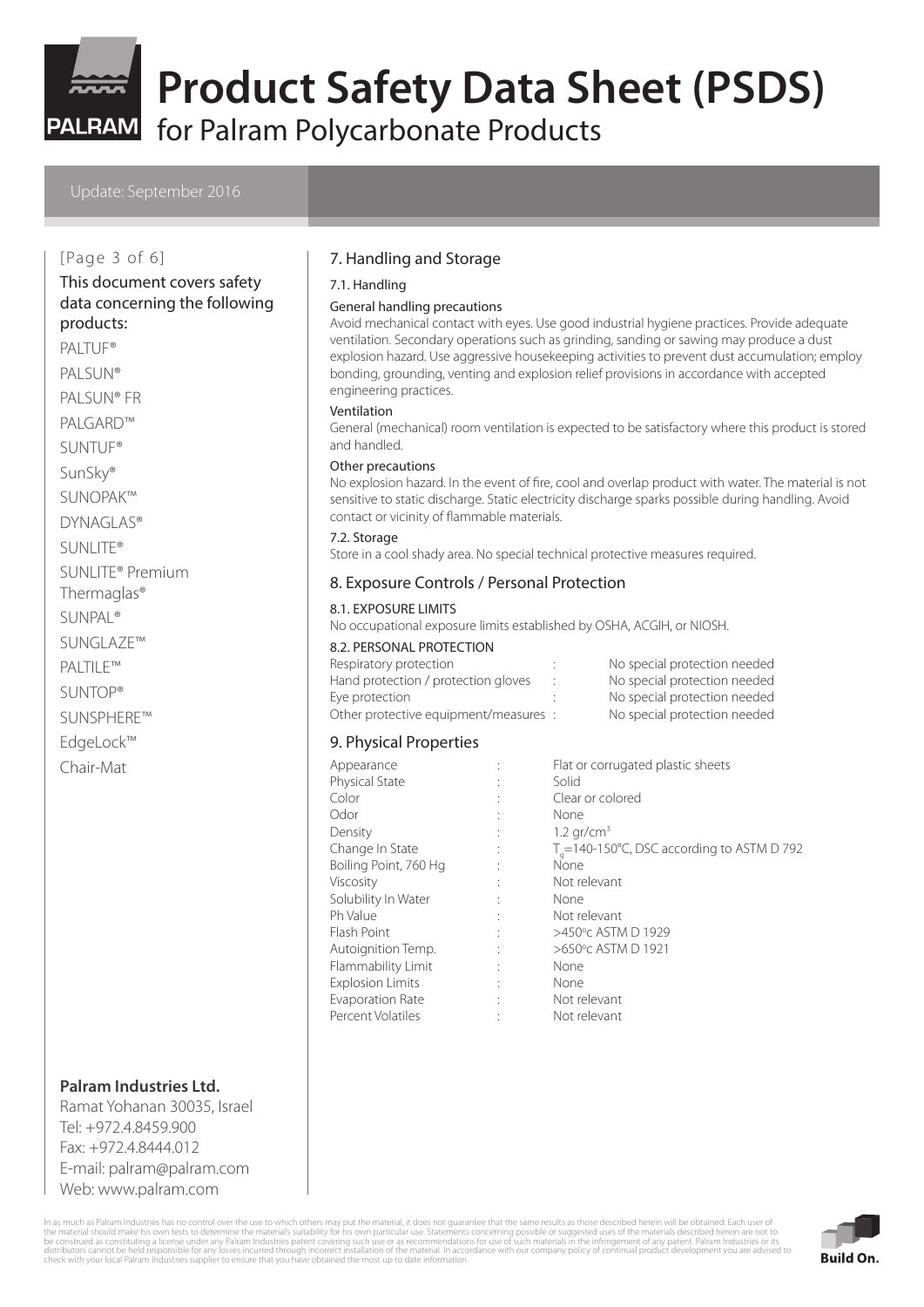

for Palram Polycarbonate Products

#### Update: September 2016

#### [Page 3 of 6]

# This document covers safety data concerning the following

products:

- PALTUF® PALSUN® PALSUN® FR PALGARD™ SUNTUF® SunSky® SUNOPAK™
- DYNAGLAS®
- SUNLITE®
- SUNLITE® Premium Thermaglas®
- SUNPAL®
- SUNGLAZE™
- PALTILE™
- SUNTOP®
- SUNSPHERE™
- EdgeLock™
- Chair-Mat

### **Palram Industries Ltd.**

Ramat Yohanan 30035, Israel Tel: +972.4.8459.900 Fax: +972.4.8444.012 E-mail: palram@palram.com Web: www.palram.com

### 7. Handling and Storage

#### 7.1. Handling

#### General handling precautions

Avoid mechanical contact with eyes. Use good industrial hygiene practices. Provide adequate ventilation. Secondary operations such as grinding, sanding or sawing may produce a dust explosion hazard. Use aggressive housekeeping activities to prevent dust accumulation; employ bonding, grounding, venting and explosion relief provisions in accordance with accepted engineering practices.

#### Ventilation

General (mechanical) room ventilation is expected to be satisfactory where this product is stored and handled.

#### Other precautions

No explosion hazard. In the event of fire, cool and overlap product with water. The material is not sensitive to static discharge. Static electricity discharge sparks possible during handling. Avoid contact or vicinity of flammable materials.

#### 7.2. Storage

Store in a cool shady area. No special technical protective measures required.

### 8. Exposure Controls / Personal Protection

#### 8.1. EXPOSURE LIMITS

No occupational exposure limits established by OSHA, ACGIH, or NIOSH.

#### 8.2. PERSONAL PROTECTION

| Respiratory protection                | No special protection needed |
|---------------------------------------|------------------------------|
| Hand protection / protection gloves   | No special protection needed |
| Eye protection                        | No special protection needed |
| Other protective equipment/measures : | No special protection needed |

#### 9. Physical Properties

| Appearance              |                      | Flat or corrugated plastic sheets                   |
|-------------------------|----------------------|-----------------------------------------------------|
| <b>Physical State</b>   |                      | Solid                                               |
| Color                   |                      | Clear or colored                                    |
| Odor                    |                      | None                                                |
| Density                 |                      | $1.2$ gr/cm <sup>3</sup>                            |
| Change In State         | $\ddot{\phantom{a}}$ | $T_{\rm g}$ =140-150°C, DSC according to ASTM D 792 |
| Boiling Point, 760 Hg   |                      | None                                                |
| Viscosity               |                      | Not relevant                                        |
| Solubility In Water     |                      | None                                                |
| Ph Value                |                      | Not relevant                                        |
| Flash Point             |                      | >450°C ASTM D 1929                                  |
| Autoignition Temp.      |                      | >650°c ASTM D 1921                                  |
| Flammability Limit      |                      | None                                                |
| <b>Explosion Limits</b> |                      | None                                                |
| Evaporation Rate        |                      | Not relevant                                        |
| Percent Volatiles       |                      | Not relevant                                        |

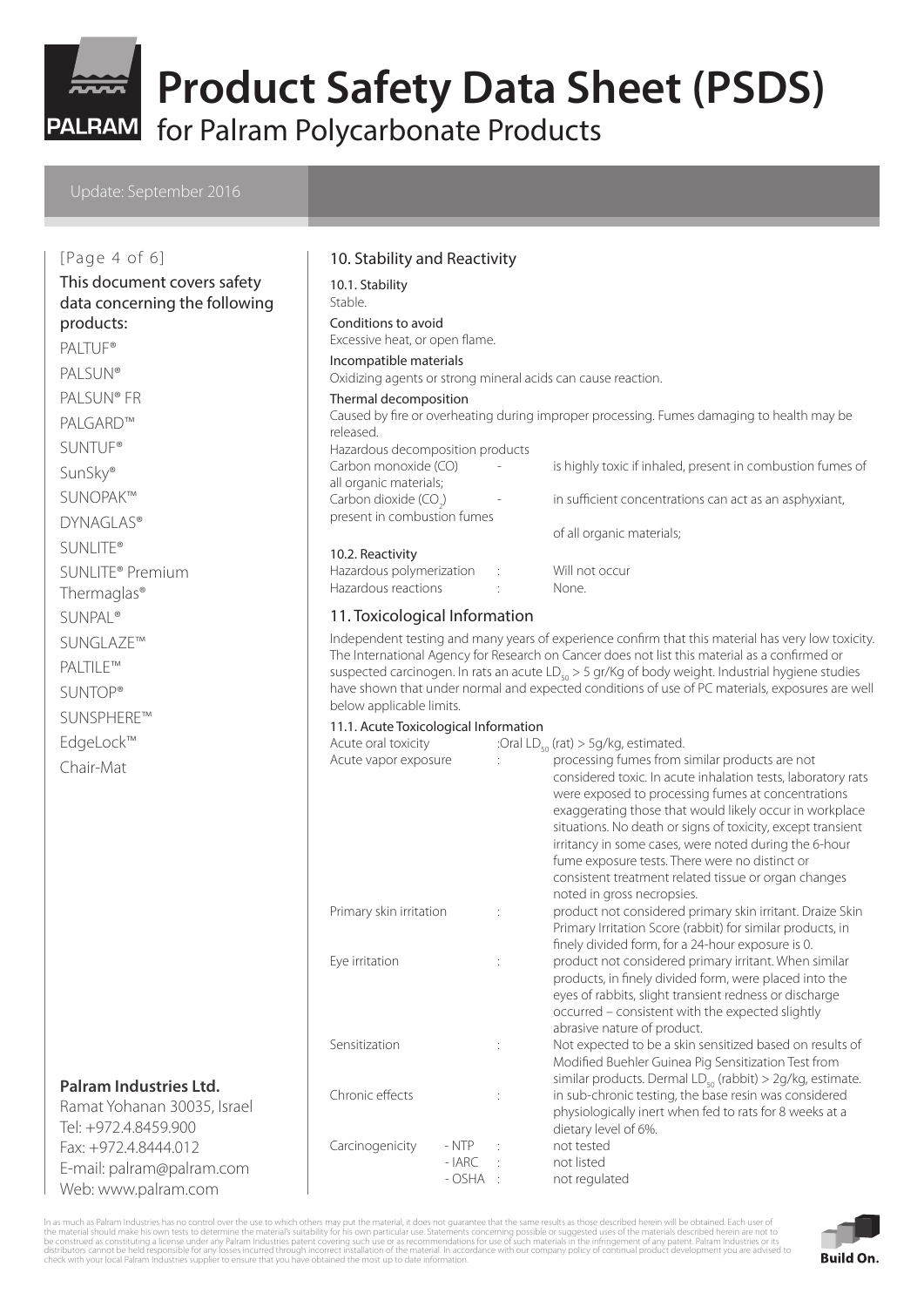

for Palram Polycarbonate Products

E-mail: palram@palram.com Web: www.palram.com

| [Page 4 of 6]                                                                 | 10. Stability and Reactivity                                      |   |                                                                                                                                                                                                                                                                                                                                                                                                                                                                                                 |
|-------------------------------------------------------------------------------|-------------------------------------------------------------------|---|-------------------------------------------------------------------------------------------------------------------------------------------------------------------------------------------------------------------------------------------------------------------------------------------------------------------------------------------------------------------------------------------------------------------------------------------------------------------------------------------------|
| This document covers safety<br>data concerning the following                  | 10.1. Stability<br>Stable.                                        |   |                                                                                                                                                                                                                                                                                                                                                                                                                                                                                                 |
| products:                                                                     | Conditions to avoid                                               |   |                                                                                                                                                                                                                                                                                                                                                                                                                                                                                                 |
| PALTUF <sup>®</sup>                                                           | Excessive heat, or open flame.                                    |   |                                                                                                                                                                                                                                                                                                                                                                                                                                                                                                 |
| <b>PALSUN®</b>                                                                | Incompatible materials                                            |   |                                                                                                                                                                                                                                                                                                                                                                                                                                                                                                 |
| PALSUN® FR                                                                    | Oxidizing agents or strong mineral acids can cause reaction.      |   |                                                                                                                                                                                                                                                                                                                                                                                                                                                                                                 |
| PALGARD™                                                                      | Thermal decomposition                                             |   | Caused by fire or overheating during improper processing. Fumes damaging to health may be                                                                                                                                                                                                                                                                                                                                                                                                       |
|                                                                               | released.                                                         |   |                                                                                                                                                                                                                                                                                                                                                                                                                                                                                                 |
| <b>SUNTUF®</b>                                                                | Hazardous decomposition products<br>Carbon monoxide (CO)          |   | is highly toxic if inhaled, present in combustion fumes of                                                                                                                                                                                                                                                                                                                                                                                                                                      |
| SunSky®                                                                       | all organic materials;                                            |   |                                                                                                                                                                                                                                                                                                                                                                                                                                                                                                 |
| SUNOPAK™                                                                      | Carbon dioxide (CO <sub>2</sub> )                                 |   | in sufficient concentrations can act as an asphyxiant,                                                                                                                                                                                                                                                                                                                                                                                                                                          |
| <b>DYNAGLAS®</b>                                                              | present in combustion fumes                                       |   | of all organic materials;                                                                                                                                                                                                                                                                                                                                                                                                                                                                       |
| <b>SUNLITE®</b>                                                               | 10.2. Reactivity                                                  |   |                                                                                                                                                                                                                                                                                                                                                                                                                                                                                                 |
| SUNLITE <sup>®</sup> Premium                                                  | Hazardous polymerization                                          |   | Will not occur                                                                                                                                                                                                                                                                                                                                                                                                                                                                                  |
| Thermaglas <sup>®</sup>                                                       | Hazardous reactions                                               |   | None.                                                                                                                                                                                                                                                                                                                                                                                                                                                                                           |
| <b>SUNPAL®</b>                                                                | 11. Toxicological Information                                     |   |                                                                                                                                                                                                                                                                                                                                                                                                                                                                                                 |
| SUNGLAZE™                                                                     |                                                                   |   | Independent testing and many years of experience confirm that this material has very low toxicity.<br>The International Agency for Research on Cancer does not list this material as a confirmed or                                                                                                                                                                                                                                                                                             |
| PALTILE™                                                                      |                                                                   |   | suspected carcinogen. In rats an acute $LD_{50} > 5$ gr/Kg of body weight. Industrial hygiene studies                                                                                                                                                                                                                                                                                                                                                                                           |
| <b>SUNTOP®</b>                                                                |                                                                   |   | have shown that under normal and expected conditions of use of PC materials, exposures are well                                                                                                                                                                                                                                                                                                                                                                                                 |
| SUNSPHERE™                                                                    | below applicable limits.<br>11.1. Acute Toxicological Information |   |                                                                                                                                                                                                                                                                                                                                                                                                                                                                                                 |
| EdgeLock™                                                                     | Acute oral toxicity                                               |   | :Oral $LD_{50}$ (rat) > 5g/kg, estimated.                                                                                                                                                                                                                                                                                                                                                                                                                                                       |
| Chair-Mat                                                                     | Acute vapor exposure                                              |   | processing fumes from similar products are not<br>considered toxic. In acute inhalation tests, laboratory rats<br>were exposed to processing fumes at concentrations<br>exaggerating those that would likely occur in workplace<br>situations. No death or signs of toxicity, except transient<br>irritancy in some cases, were noted during the 6-hour<br>fume exposure tests. There were no distinct or<br>consistent treatment related tissue or organ changes<br>noted in gross necropsies. |
|                                                                               | Primary skin irritation                                           | ÷ | product not considered primary skin irritant. Draize Skin<br>Primary Irritation Score (rabbit) for similar products, in<br>finely divided form, for a 24-hour exposure is 0.                                                                                                                                                                                                                                                                                                                    |
|                                                                               | Eye irritation                                                    | ÷ | product not considered primary irritant. When similar<br>products, in finely divided form, were placed into the<br>eyes of rabbits, slight transient redness or discharge<br>occurred - consistent with the expected slightly<br>abrasive nature of product.                                                                                                                                                                                                                                    |
|                                                                               | Sensitization                                                     | ÷ | Not expected to be a skin sensitized based on results of<br>Modified Buehler Guinea Pig Sensitization Test from                                                                                                                                                                                                                                                                                                                                                                                 |
| Palram Industries Ltd.<br>Ramat Yohanan 30035, Israel<br>Tel: +972.4.8459.900 | Chronic effects                                                   | ÷ | similar products. Dermal $LD_{50}$ (rabbit) > 2g/kg, estimate.<br>in sub-chronic testing, the base resin was considered<br>physiologically inert when fed to rats for 8 weeks at a<br>dietary level of 6%.                                                                                                                                                                                                                                                                                      |
| Fax: +972.4.8444.012                                                          | Carcinogenicity<br>$- NTP$                                        |   | not tested                                                                                                                                                                                                                                                                                                                                                                                                                                                                                      |

In as much as Palram Industries has no control over the use to which others may put the material, it does not guarantee that the same results as those described herein will be obtained. Each uses the sensual should make hi

- IARC : not listed - OSHA : not regulated

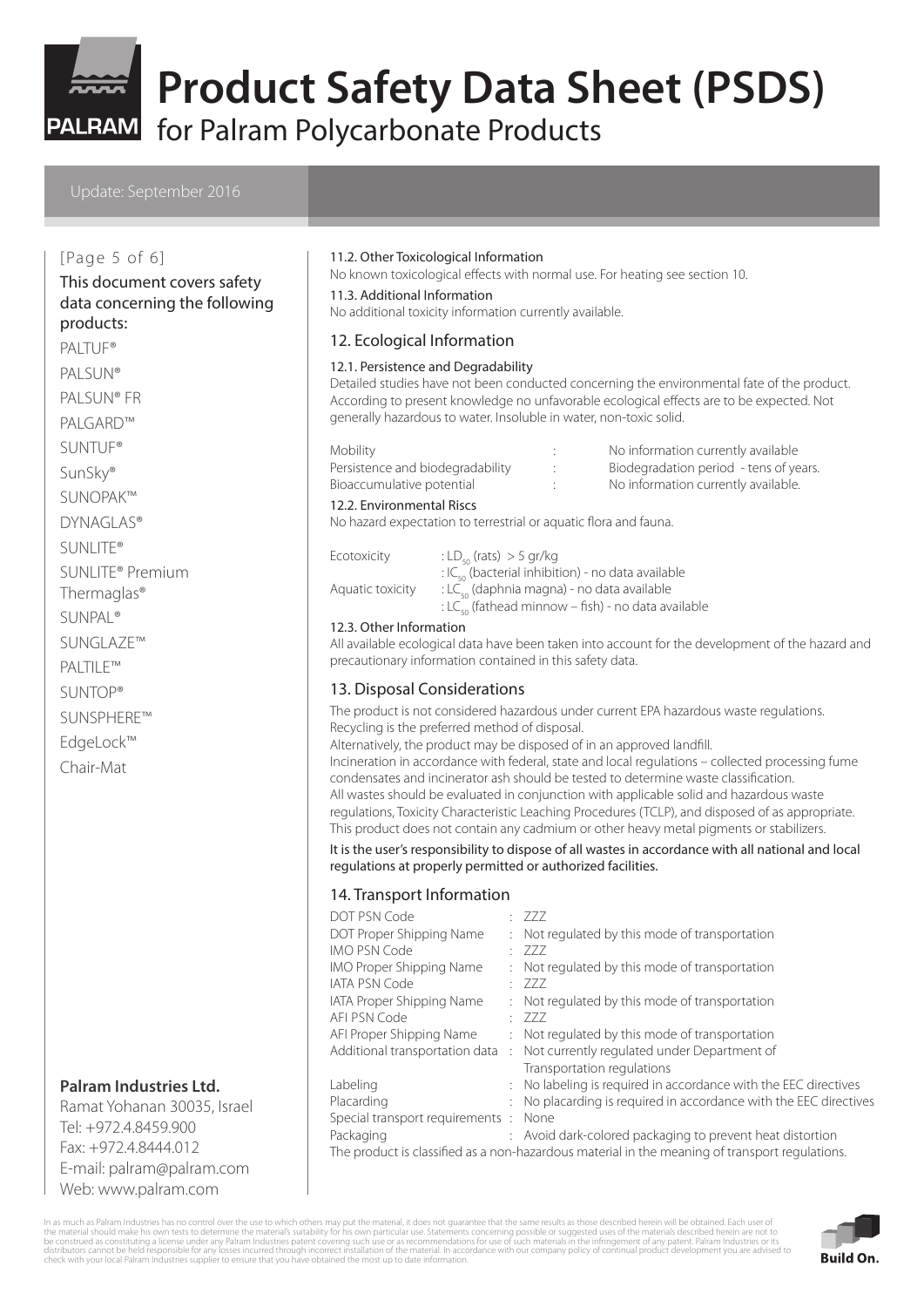

PALRAM for Palram Polycarbonate Products

#### Update: September 2016

#### [Page 5 of 6]

#### This document covers safety data concerning the following products:

PALTUF<sup>®</sup> PALSUN® PALSUN® FR PALGARD™

SUNTUF®

SunSky®

SUNOPAK™

DYNAGLAS®

SUNLITE®

- SUNLITE® Premium Thermaglas®
- SUNPAL®
- SUNGLAZE™

PALTILE™

SUNTOP®

SUNSPHERE™ EdgeLock™

Chair-Mat

# **Palram Industries Ltd.**

Ramat Yohanan 30035, Israel Tel: +972.4.8459.900 Fax: +972.4.8444.012 E-mail: palram@palram.com Web: www.palram.com

#### 11.2. Other Toxicological Information

No known toxicological effects with normal use. For heating see section 10.

11.3. Additional Information

No additional toxicity information currently available.

#### 12. Ecological Information

#### 12.1. Persistence and Degradability

Detailed studies have not been conducted concerning the environmental fate of the product. According to present knowledge no unfavorable ecological effects are to be expected. Not generally hazardous to water. Insoluble in water, non-toxic solid.

Persistence and biodegradability : Biodegradation period - tens of years. Bioaccumulative potential  $\qquad \qquad$ : No information currently available.

- Mobility Mobility **Mobility** : No information currently available
	-
	-

#### 12.2. Environmental Riscs

No hazard expectation to terrestrial or aquatic flora and fauna.

| Ecotoxicity      | : LD <sub>so</sub> (rats) $>$ 5 gr/kg                          |
|------------------|----------------------------------------------------------------|
|                  | : IC <sub>co</sub> (bacterial inhibition) - no data available  |
| Aquatic toxicity | : LC <sub>so</sub> (daphnia magna) - no data available         |
|                  | : LC <sub>50</sub> (fathead minnow – fish) - no data available |

#### 12.3. Other Information

All available ecological data have been taken into account for the development of the hazard and precautionary information contained in this safety data.

### 13. Disposal Considerations

The product is not considered hazardous under current EPA hazardous waste regulations. Recycling is the preferred method of disposal.

Alternatively, the product may be disposed of in an approved landfill.

Incineration in accordance with federal, state and local regulations – collected processing fume condensates and incinerator ash should be tested to determine waste classification. All wastes should be evaluated in conjunction with applicable solid and hazardous waste regulations, Toxicity Characteristic Leaching Procedures (TCLP), and disposed of as appropriate. This product does not contain any cadmium or other heavy metal pigments or stabilizers.

#### It is the user's responsibility to dispose of all wastes in accordance with all national and local regulations at properly permitted or authorized facilities.

#### 14. Transport Information

| DOT PSN Code                         | : 777                                                             |
|--------------------------------------|-------------------------------------------------------------------|
| DOT Proper Shipping Name             | : Not regulated by this mode of transportation                    |
| <b>IMO PSN Code</b>                  | : 777                                                             |
| <b>IMO Proper Shipping Name</b>      | : Not regulated by this mode of transportation                    |
| <b>IATA PSN Code</b>                 | : 777                                                             |
| <b>IATA Proper Shipping Name</b>     | : Not regulated by this mode of transportation                    |
| AFI PSN Code                         | : 777                                                             |
| AFI Proper Shipping Name             | : Not regulated by this mode of transportation                    |
| Additional transportation data       | : Not currently regulated under Department of                     |
|                                      | Transportation regulations                                        |
| Labeling                             | : No labeling is required in accordance with the EEC directives   |
| Placarding                           | : No placarding is required in accordance with the EEC directives |
| Special transport requirements: None |                                                                   |
| Packaging                            | : Avoid dark-colored packaging to prevent heat distortion         |
|                                      |                                                                   |

The product is classified as a non-hazardous material in the meaning of transport regulations.